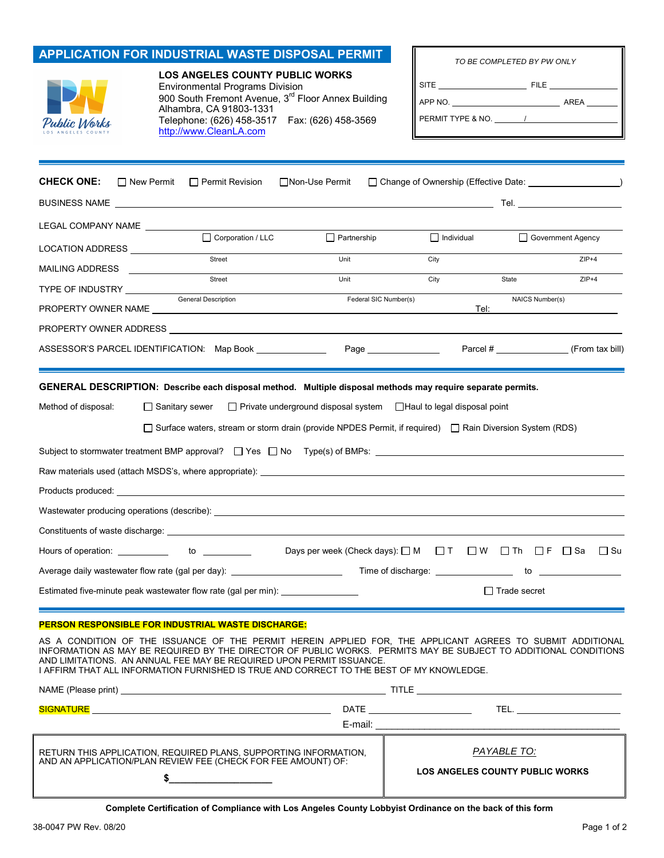|                                                                         | <b>APPLICATION FOR INDUSTRIAL WASTE DISPOSAL PERMIT</b>                                                                                                                                                                                                     |                                                                                |                   | TO BE COMPLETED BY PW ONLY                           |                   |  |
|-------------------------------------------------------------------------|-------------------------------------------------------------------------------------------------------------------------------------------------------------------------------------------------------------------------------------------------------------|--------------------------------------------------------------------------------|-------------------|------------------------------------------------------|-------------------|--|
| Public Works                                                            | <b>LOS ANGELES COUNTY PUBLIC WORKS</b><br><b>Environmental Programs Division</b><br>900 South Fremont Avenue, 3 <sup>rd</sup> Floor Annex Building<br>Alhambra, CA 91803-1331<br>Telephone: (626) 458-3517    Fax: (626) 458-3569<br>http://www.CleanLA.com |                                                                                |                   |                                                      |                   |  |
| <b>CHECK ONE:</b>                                                       | $\Box$ New Permit<br>$\Box$ Permit Revision                                                                                                                                                                                                                 | □Non-Use Permit                                                                |                   | □ Change of Ownership (Effective Date: <u>[1989]</u> |                   |  |
| LEGAL COMPANY NAME                                                      |                                                                                                                                                                                                                                                             |                                                                                |                   |                                                      |                   |  |
| LOCATION ADDRESS <b>Learning</b>                                        | Corporation / LLC                                                                                                                                                                                                                                           | $\Box$ Partnership                                                             | $\Box$ Individual |                                                      | Government Agency |  |
| MAILING ADDRESS                                                         | Street                                                                                                                                                                                                                                                      | Unit                                                                           | City              |                                                      | $ZIP+4$           |  |
|                                                                         | Street                                                                                                                                                                                                                                                      | Unit                                                                           | City              | State                                                | $ZIP+4$           |  |
| General Description<br>Federal SIC Number(s)<br>NAICS Number(s)<br>Tel: |                                                                                                                                                                                                                                                             |                                                                                |                   |                                                      |                   |  |
|                                                                         | PROPERTY OWNER ADDRESS AND THE RESIDENCE OF THE RESIDENCE OF THE RESIDENCE OF THE RESIDENCE OF THE RESIDENCE O                                                                                                                                              |                                                                                |                   |                                                      |                   |  |
|                                                                         |                                                                                                                                                                                                                                                             |                                                                                |                   | Parcel # (From tax bill)                             |                   |  |
| Method of disposal:                                                     | GENERAL DESCRIPTION: Describe each disposal method. Multiple disposal methods may require separate permits.<br>□ Sanitary sewer                                                                                                                             | $\Box$ Private underground disposal system $\Box$ Haul to legal disposal point |                   |                                                      |                   |  |
|                                                                         | □ Surface waters, stream or storm drain (provide NPDES Permit, if required) □ Rain Diversion System (RDS)                                                                                                                                                   |                                                                                |                   |                                                      |                   |  |
|                                                                         | Subject to stormwater treatment BMP approval? $\Box$ Yes $\Box$ No Type(s) of BMPs: $\Box$                                                                                                                                                                  |                                                                                |                   |                                                      |                   |  |
|                                                                         |                                                                                                                                                                                                                                                             |                                                                                |                   |                                                      |                   |  |
|                                                                         |                                                                                                                                                                                                                                                             |                                                                                |                   |                                                      |                   |  |
|                                                                         |                                                                                                                                                                                                                                                             |                                                                                |                   |                                                      |                   |  |
|                                                                         |                                                                                                                                                                                                                                                             |                                                                                |                   |                                                      |                   |  |
|                                                                         | Hours of operation: _____________ to _________                                                                                                                                                                                                              | Days per week (Check days): □ M □ T □ W □ Th □ F □ Sa □ Su                     |                   |                                                      |                   |  |
|                                                                         | Average daily wastewater flow rate (gal per day): ______________________________                                                                                                                                                                            |                                                                                |                   |                                                      |                   |  |
|                                                                         | Estimated five-minute peak wastewater flow rate (gal per min):                                                                                                                                                                                              |                                                                                |                   | $\Box$ Trade secret                                  |                   |  |
|                                                                         | <b>PERSON RESPONSIBLE FOR INDUSTRIAL WASTE DISCHARGE:</b>                                                                                                                                                                                                   |                                                                                |                   |                                                      |                   |  |
|                                                                         | AS A CONDITION OF THE ISSUANCE OF THE PERMIT HEREIN APPLIED FOR, THE APPLICANT AGREES TO SUBMIT ADDITIONAL<br>INFORMATION AS MAY RE REOHIRED BY THE DIRECTOR OF RUBLIC WORKS. REPAILTS MAY RE SURJECT TO ADDITIONAL CONDITIONS                              |                                                                                |                   |                                                      |                   |  |

INFORMATION AS MAY BE REQUIRED BY THE DIRECTOR OF PUBLIC WORKS. PERMITS MAY BE SUBJECT TO ADDITIONAL CONDITIONS AND LIMITATIONS. AN ANNUAL FEE MAY BE REQUIRED UPON PERMIT ISSUANCE. I AFFIRM THAT ALL INFORMATION FURNISHED IS TRUE AND CORRECT TO THE BEST OF MY KNOWLEDGE.

|                                                                                                                                |                                                       | TITLE <u>__________________________</u> ______                  |  |
|--------------------------------------------------------------------------------------------------------------------------------|-------------------------------------------------------|-----------------------------------------------------------------|--|
|                                                                                                                                |                                                       | DATE _________________________<br>TEL. ________________________ |  |
|                                                                                                                                |                                                       |                                                                 |  |
| RETURN THIS APPLICATION, REQUIRED PLANS, SUPPORTING INFORMATION, AND AN APPLICATION/PLAN REVIEW FEE (CHECK FOR FEE AMOUNT) OF: | PAYABLE TO:<br><b>LOS ANGELES COUNTY PUBLIC WORKS</b> |                                                                 |  |

**Complete Certification of Compliance with Los Angeles County Lobbyist Ordinance on the back of this form** 

I